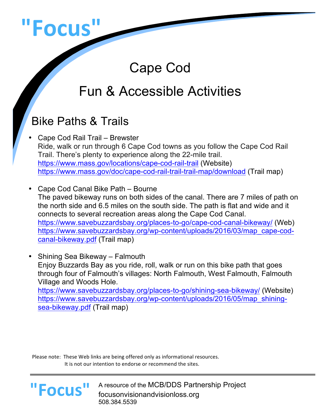

# Cape Cod

# Fun & Accessible Activities

# Bike Paths & Trails

- Cape Cod Rail Trail Brewster Ride, walk or run through 6 Cape Cod towns as you follow the Cape Cod Rail Trail. There's plenty to experience along the 22-mile trail. https://www.mass.gov/locations/cape-cod-rail-trail (Website) https://www.mass.gov/doc/cape-cod-rail-trail-trail-map/download (Trail map)
- Cape Cod Canal Bike Path Bourne The paved bikeway runs on both sides of the canal. There are 7 miles of path on the north side and 6.5 miles on the south side. The path is flat and wide and it connects to several recreation areas along the Cape Cod Canal. https://www.savebuzzardsbay.org/places-to-go/cape-cod-canal-bikeway/ (Web) https://www.savebuzzardsbay.org/wp-content/uploads/2016/03/map\_cape-codcanal-bikeway.pdf (Trail map)
- Shining Sea Bikeway Falmouth Enjoy Buzzards Bay as you ride, roll, walk or run on this bike path that goes through four of Falmouth's villages: North Falmouth, West Falmouth, Falmouth Village and Woods Hole. https://www.savebuzzardsbay.org/places-to-go/shining-sea-bikeway/ (Website) https://www.savebuzzardsbay.org/wp-content/uploads/2016/05/map\_shiningsea-bikeway.pdf (Trail map)

Please note: These Web links are being offered only as informational resources. It is not our intention to endorse or recommend the sites.

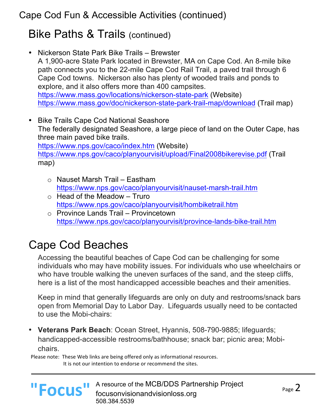## Bike Paths & Trails (continued)

- Nickerson State Park Bike Trails Brewster A 1,900-acre State Park located in Brewster, MA on Cape Cod. An 8-mile bike path connects you to the 22-mile Cape Cod Rail Trail, a paved trail through 6 Cape Cod towns. Nickerson also has plenty of wooded trails and ponds to explore, and it also offers more than 400 campsites. https://www.mass.gov/locations/nickerson-state-park (Website) https://www.mass.gov/doc/nickerson-state-park-trail-map/download (Trail map)
- Bike Trails Cape Cod National Seashore The federally designated Seashore, a large piece of land on the Outer Cape, has three main paved bike trails. https://www.nps.gov/caco/index.htm (Website) https://www.nps.gov/caco/planyourvisit/upload/Final2008bikerevise.pdf (Trail map)
	- o Nauset Marsh Trail Eastham https://www.nps.gov/caco/planyourvisit/nauset-marsh-trail.htm
	- $\circ$  Head of the Meadow Truro https://www.nps.gov/caco/planyourvisit/hombiketrail.htm
	- o Province Lands Trail Provincetown https://www.nps.gov/caco/planyourvisit/province-lands-bike-trail.htm

# Cape Cod Beaches

Accessing the beautiful beaches of Cape Cod can be challenging for some individuals who may have mobility issues. For individuals who use wheelchairs or who have trouble walking the uneven surfaces of the sand, and the steep cliffs, here is a list of the most handicapped accessible beaches and their amenities.

Keep in mind that generally lifeguards are only on duty and restrooms/snack bars open from Memorial Day to Labor Day. Lifeguards usually need to be contacted to use the Mobi-chairs:

• **Veterans Park Beach**: Ocean Street, Hyannis, 508-790-9885; lifeguards; handicapped-accessible restrooms/bathhouse; snack bar; picnic area; Mobichairs.

Please note: These Web links are being offered only as informational resources. It is not our intention to endorse or recommend the sites.

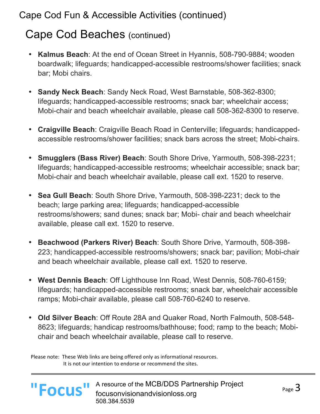## Cape Cod Beaches (continued)

- **Kalmus Beach**: At the end of Ocean Street in Hyannis, 508-790-9884; wooden boardwalk; lifeguards; handicapped-accessible restrooms/shower facilities; snack bar; Mobi chairs.
- **Sandy Neck Beach**: Sandy Neck Road, West Barnstable, 508-362-8300; lifeguards; handicapped-accessible restrooms; snack bar; wheelchair access; Mobi-chair and beach wheelchair available, please call 508-362-8300 to reserve.
- **Craigville Beach**: Craigville Beach Road in Centerville; lifeguards; handicappedaccessible restrooms/shower facilities; snack bars across the street; Mobi-chairs.
- **Smugglers (Bass River) Beach**: South Shore Drive, Yarmouth, 508-398-2231; lifeguards; handicapped-accessible restrooms; wheelchair accessible; snack bar; Mobi-chair and beach wheelchair available, please call ext. 1520 to reserve.
- **Sea Gull Beach**: South Shore Drive, Yarmouth, 508-398-2231; deck to the beach; large parking area; lifeguards; handicapped-accessible restrooms/showers; sand dunes; snack bar; Mobi- chair and beach wheelchair available, please call ext. 1520 to reserve.
- **Beachwood (Parkers River) Beach**: South Shore Drive, Yarmouth, 508-398- 223; handicapped-accessible restrooms/showers; snack bar; pavilion; Mobi-chair and beach wheelchair available, please call ext. 1520 to reserve.
- **West Dennis Beach**: Off Lighthouse Inn Road, West Dennis, 508-760-6159; lifeguards; handicapped-accessible restrooms; snack bar, wheelchair accessible ramps; Mobi-chair available, please call 508-760-6240 to reserve.
- **Old Silver Beach**: Off Route 28A and Quaker Road, North Falmouth, 508-548- 8623; lifeguards; handicap restrooms/bathhouse; food; ramp to the beach; Mobichair and beach wheelchair available, please call to reserve.

Please note: These Web links are being offered only as informational resources. It is not our intention to endorse or recommend the sites.

**"Focus"**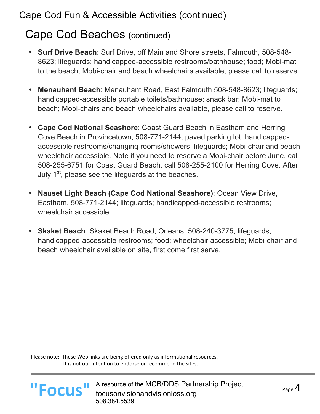## Cape Cod Beaches (continued)

- **Surf Drive Beach**: Surf Drive, off Main and Shore streets, Falmouth, 508-548- 8623; lifeguards; handicapped-accessible restrooms/bathhouse; food; Mobi-mat to the beach; Mobi-chair and beach wheelchairs available, please call to reserve.
- **Menauhant Beach**: Menauhant Road, East Falmouth 508-548-8623; lifeguards; handicapped-accessible portable toilets/bathhouse; snack bar; Mobi-mat to beach; Mobi-chairs and beach wheelchairs available, please call to reserve.
- **Cape Cod National Seashore**: Coast Guard Beach in Eastham and Herring Cove Beach in Provincetown, 508-771-2144; paved parking lot; handicappedaccessible restrooms/changing rooms/showers; lifeguards; Mobi-chair and beach wheelchair accessible. Note if you need to reserve a Mobi-chair before June, call 508-255-6751 for Coast Guard Beach, call 508-255-2100 for Herring Cove. After July  $1<sup>st</sup>$ , please see the lifeguards at the beaches.
- **Nauset Light Beach (Cape Cod National Seashore)**: Ocean View Drive, Eastham, 508-771-2144; lifeguards; handicapped-accessible restrooms; wheelchair accessible.
- **Skaket Beach**: Skaket Beach Road, Orleans, 508-240-3775; lifeguards; handicapped-accessible restrooms; food; wheelchair accessible; Mobi-chair and beach wheelchair available on site, first come first serve.

Please note: These Web links are being offered only as informational resources. It is not our intention to endorse or recommend the sites.

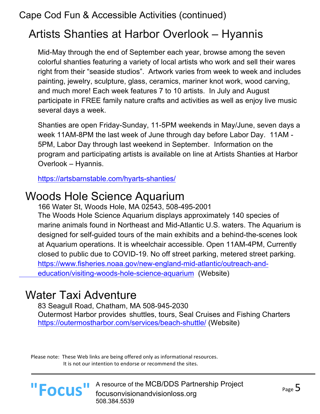# Artists Shanties at Harbor Overlook – Hyannis

Mid-May through the end of September each year, browse among the seven colorful shanties featuring a variety of local artists who work and sell their wares right from their "seaside studios". Artwork varies from week to week and includes painting, jewelry, sculpture, glass, ceramics, mariner knot work, wood carving, and much more! Each week features 7 to 10 artists. In July and August participate in FREE family nature crafts and activities as well as enjoy live music several days a week.

Shanties are open Friday-Sunday, 11-5PM weekends in May/June, seven days a week 11AM-8PM the last week of June through day before Labor Day. 11AM - 5PM, Labor Day through last weekend in September. Information on the program and participating artists is available on line at Artists Shanties at Harbor Overlook – Hyannis.

https://artsbarnstable.com/hyarts-shanties/

## Woods Hole Science Aquarium

166 Water St, Woods Hole, MA 02543, 508-495-2001 The Woods Hole Science Aquarium displays approximately 140 species of marine animals found in Northeast and Mid-Atlantic U.S. waters. The Aquarium is designed for self-guided tours of the main exhibits and a behind-the-scenes look at Aquarium operations. It is wheelchair accessible. Open 11AM-4PM, Currently closed to public due to COVID-19. No off street parking, metered street parking. https://www.fisheries.noaa.gov/new-england-mid-atlantic/outreach-andeducation/visiting-woods-hole-science-aquarium (Website)

### Water Taxi Adventure

83 Seagull Road, Chatham, MA 508-945-2030 Outermost Harbor provides shuttles, tours, Seal Cruises and Fishing Charters https://outermostharbor.com/services/beach-shuttle/ (Website)

Please note: These Web links are being offered only as informational resources. It is not our intention to endorse or recommend the sites.